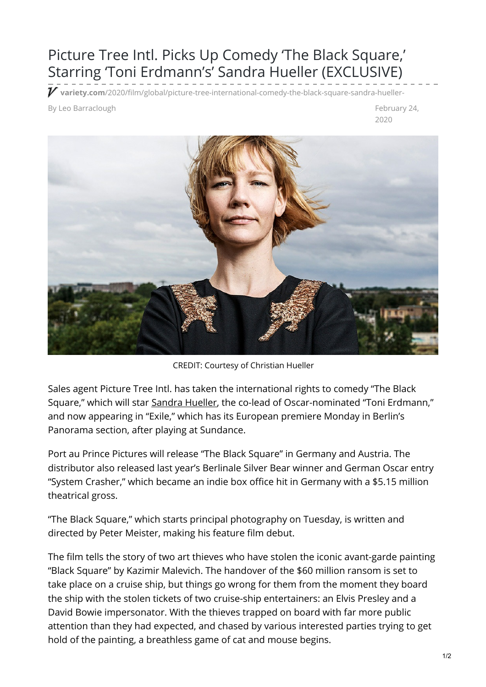## Picture Tree Intl. Picks Up Comedy 'The Black Square,' Starring 'Toni Erdmann's' Sandra Hueller (EXCLUSIVE)

**variety.com**[/2020/film/global/picture-tree-international-comedy-the-black-square-sandra-hueller-](https://variety.com/2020/film/global/picture-tree-international-comedy-the-black-square-sandra-hueller-1203512120/)

and the Barraclough February 24, and the Barraclough in the Barraclough February 24,

2020



CREDIT: Courtesy of Christian Hueller

Sales agent Picture Tree Intl. has taken the international rights to comedy "The Black Square," which will star [Sandra](https://variety.com/t/sandra-hueller/) Hueller, the co-lead of Oscar-nominated "Toni Erdmann," and now appearing in "Exile," which has its European premiere Monday in Berlin's Panorama section, after playing at Sundance.

Port au Prince Pictures will release "The Black Square" in Germany and Austria. The distributor also released last year's Berlinale Silver Bear winner and German Oscar entry "System Crasher," which became an indie box office hit in Germany with a \$5.15 million theatrical gross.

"The Black Square," which starts principal photography on Tuesday, is written and directed by Peter Meister, making his feature film debut.

The film tells the story of two art thieves who have stolen the iconic avant-garde painting "Black Square" by Kazimir Malevich. The handover of the \$60 million ransom is set to take place on a cruise ship, but things go wrong for them from the moment they board the ship with the stolen tickets of two cruise-ship entertainers: an Elvis Presley and a David Bowie impersonator. With the thieves trapped on board with far more public attention than they had expected, and chased by various interested parties trying to get hold of the painting, a breathless game of cat and mouse begins.